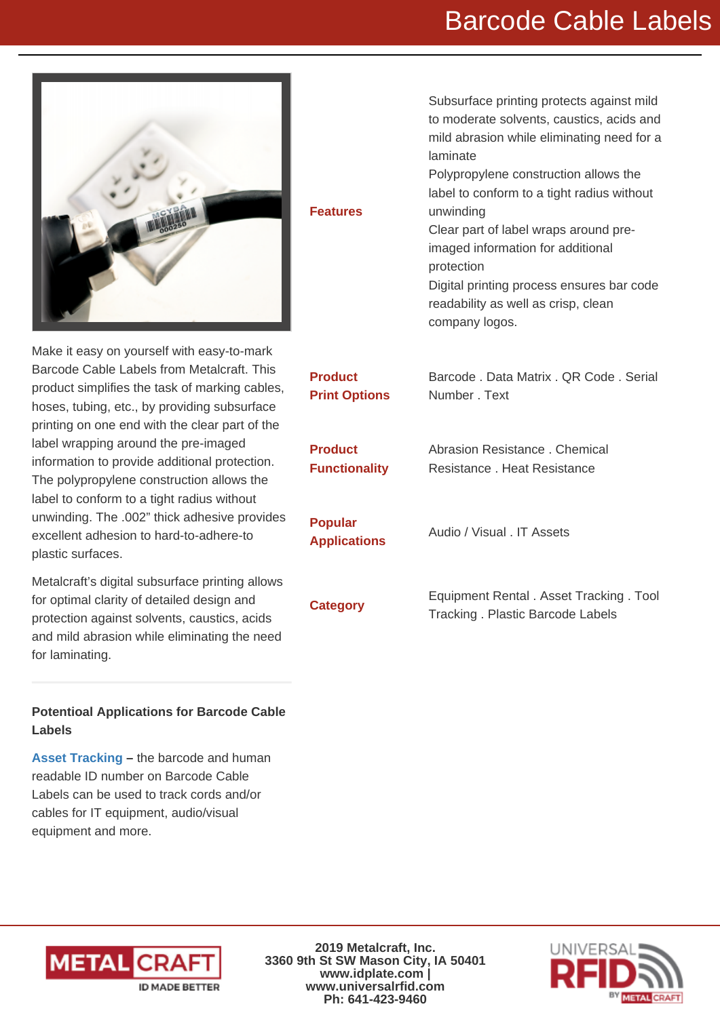## Barcode Cable Labels

Subsurface printing protects against mild to moderate solvents, caustics, acids and mild abrasion while eliminating need for a

Polypropylene construction allows the label to conform to a tight radius without

Clear part of label wraps around preimaged information for additional

readability as well as crisp, clean

Digital printing process ensures bar code



Features

Make it easy on yourself with easy-to-mark Barcode Cable Labels from Metalcraft. This product simplifies the task of marking cables, hoses, tubing, etc., by providing subsurface printing on one end with the clear part of the label wrapping around the pre-imaged information to provide additional protection. The polypropylene construction allows the label to conform to a tight radius without unwinding. The .002" thick adhesive provides excellent adhesion to hard-to-adhere-to plastic surfaces.

Metalcraft's digital subsurface printing allows for optimal clarity of detailed design and protection against solvents, caustics, acids and mild abrasion while eliminating the need for laminating.

Potentioal Applications for Barcode Cable Labels

[Asset Tracking](https://www.idplate.com/application/asset-tracking-rfid) – the barcode and human readable ID number on Barcode Cable Labels can be used to track cords and/or cables for IT equipment, audio/visual equipment and more.

Product Print Options Barcode . Data Matrix . QR Code . Serial Number . Text **Product Functionality** Abrasion Resistance . Chemical Resistance . Heat Resistance Popular Applications Audio / Visual . IT Assets Equipment Rental . Asset Tracking . Tool<br>
The contract of the contract of the contract of the contract of the contract of the contract of the contract of the contract of the contract of the contract of the contract of the Tracking . Plastic Barcode Labels

laminate

unwinding

protection

company logos.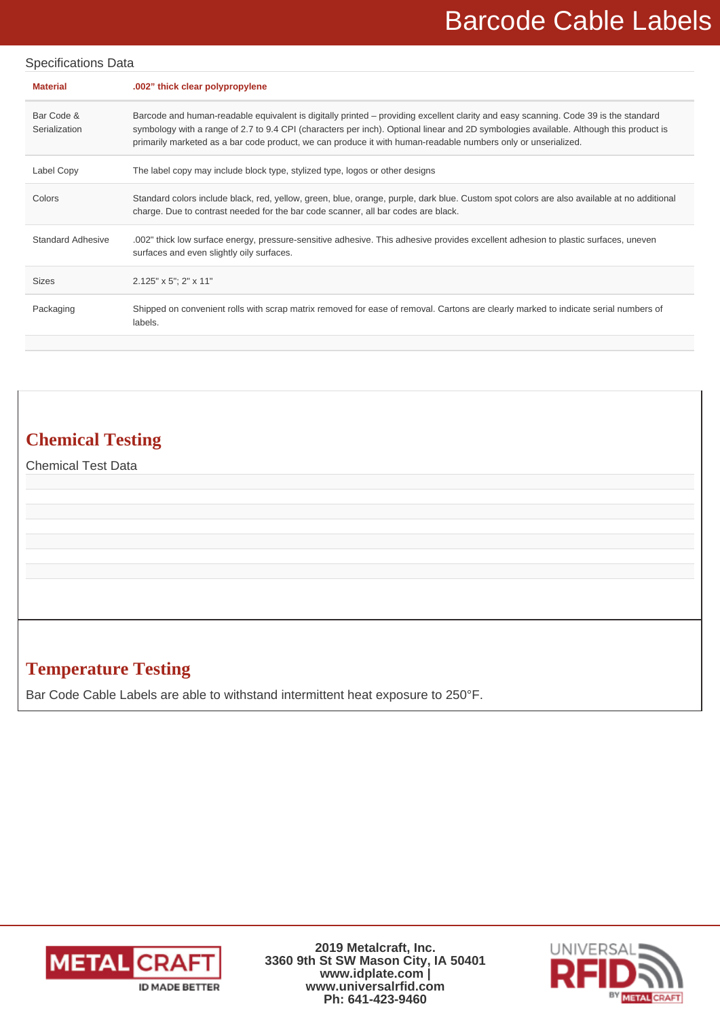## Barcode Cable Labels

| <b>Specifications Data</b>  |                                                                                                                                                                                                                                                                                                                                                                                                |  |  |  |
|-----------------------------|------------------------------------------------------------------------------------------------------------------------------------------------------------------------------------------------------------------------------------------------------------------------------------------------------------------------------------------------------------------------------------------------|--|--|--|
| <b>Material</b>             | .002" thick clear polypropylene                                                                                                                                                                                                                                                                                                                                                                |  |  |  |
| Bar Code &<br>Serialization | Barcode and human-readable equivalent is digitally printed - providing excellent clarity and easy scanning. Code 39 is the standard<br>symbology with a range of 2.7 to 9.4 CPI (characters per inch). Optional linear and 2D symbologies available. Although this product is<br>primarily marketed as a bar code product, we can produce it with human-readable numbers only or unserialized. |  |  |  |
| Label Copy                  | The label copy may include block type, stylized type, logos or other designs                                                                                                                                                                                                                                                                                                                   |  |  |  |
| Colors                      | Standard colors include black, red, yellow, green, blue, orange, purple, dark blue. Custom spot colors are also available at no additional<br>charge. Due to contrast needed for the bar code scanner, all bar codes are black.                                                                                                                                                                |  |  |  |
| <b>Standard Adhesive</b>    | .002" thick low surface energy, pressure-sensitive adhesive. This adhesive provides excellent adhesion to plastic surfaces, uneven<br>surfaces and even slightly oily surfaces.                                                                                                                                                                                                                |  |  |  |
| <b>Sizes</b>                | $2.125" \times 5"$ ; 2" $\times 11"$                                                                                                                                                                                                                                                                                                                                                           |  |  |  |
| Packaging                   | Shipped on convenient rolls with scrap matrix removed for ease of removal. Cartons are clearly marked to indicate serial numbers of<br>labels.                                                                                                                                                                                                                                                 |  |  |  |

## **Chemical Testing**

Chemical Test Data

#### **Temperature Testing**

Bar Code Cable Labels are able to withstand intermittent heat exposure to 250°F.



**2019 Metalcraft, Inc. 3360 9th St SW Mason City, IA 50401 www.idplate.com | www.universalrfid.com Ph: 641-423-9460**